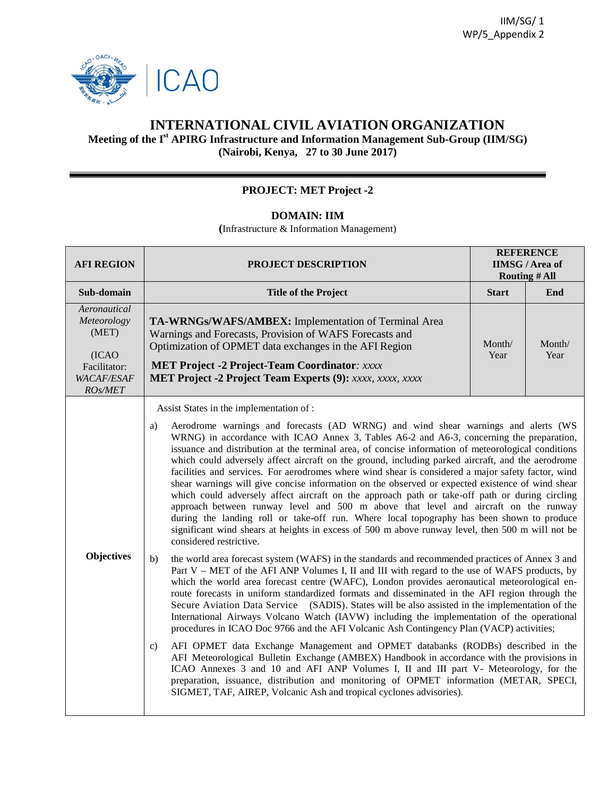

## **INTERNATIONAL CIVIL AVIATION ORGANIZATION**

## **Meeting of the I st APIRG Infrastructure and Information Management Sub-Group (IIM/SG) (Nairobi, Kenya, 27 to 30 June 2017)**

## **PROJECT: MET Project -2**

## **DOMAIN: IIM**

**(**Infrastructure & Information Management)

| <b>AFI REGION</b>                                                                              | <b>PROJECT DESCRIPTION</b>                                                                                                                                                                                                                                                                                                                                                                                                                                                                                                                                                                                                                                                                                                                                                                                                                                                                                                                                                                                                     | <b>REFERENCE</b><br><b>IIMSG</b> / Area of<br><b>Routing # All</b> |                |  |  |  |
|------------------------------------------------------------------------------------------------|--------------------------------------------------------------------------------------------------------------------------------------------------------------------------------------------------------------------------------------------------------------------------------------------------------------------------------------------------------------------------------------------------------------------------------------------------------------------------------------------------------------------------------------------------------------------------------------------------------------------------------------------------------------------------------------------------------------------------------------------------------------------------------------------------------------------------------------------------------------------------------------------------------------------------------------------------------------------------------------------------------------------------------|--------------------------------------------------------------------|----------------|--|--|--|
| Sub-domain                                                                                     | <b>Title of the Project</b>                                                                                                                                                                                                                                                                                                                                                                                                                                                                                                                                                                                                                                                                                                                                                                                                                                                                                                                                                                                                    | <b>Start</b>                                                       | End            |  |  |  |
| Aeronautical<br>Meteorology<br>(MET)<br>(ICAO)<br>Facilitator:<br><b>WACAF/ESAF</b><br>ROs/MET | TA-WRNGs/WAFS/AMBEX: Implementation of Terminal Area<br>Warnings and Forecasts, Provision of WAFS Forecasts and<br>Optimization of OPMET data exchanges in the AFI Region<br><b>MET Project -2 Project-Team Coordinator: xxxx</b><br><b>MET Project -2 Project Team Experts (9):</b> xxxx, xxxx, xxxx                                                                                                                                                                                                                                                                                                                                                                                                                                                                                                                                                                                                                                                                                                                          | Month/<br>Year                                                     | Month/<br>Year |  |  |  |
|                                                                                                | Assist States in the implementation of :                                                                                                                                                                                                                                                                                                                                                                                                                                                                                                                                                                                                                                                                                                                                                                                                                                                                                                                                                                                       |                                                                    |                |  |  |  |
|                                                                                                | Aerodrome warnings and forecasts (AD WRNG) and wind shear warnings and alerts (WS<br>a)<br>WRNG) in accordance with ICAO Annex 3, Tables A6-2 and A6-3, concerning the preparation,<br>issuance and distribution at the terminal area, of concise information of meteorological conditions<br>which could adversely affect aircraft on the ground, including parked aircraft, and the aerodrome<br>facilities and services. For aerodromes where wind shear is considered a major safety factor, wind<br>shear warnings will give concise information on the observed or expected existence of wind shear<br>which could adversely affect aircraft on the approach path or take-off path or during circling<br>approach between runway level and 500 m above that level and aircraft on the runway<br>during the landing roll or take-off run. Where local topography has been shown to produce<br>significant wind shears at heights in excess of 500 m above runway level, then 500 m will not be<br>considered restrictive. |                                                                    |                |  |  |  |
| <b>Objectives</b>                                                                              | the world area forecast system (WAFS) in the standards and recommended practices of Annex 3 and<br>b)<br>Part V – MET of the AFI ANP Volumes I, II and III with regard to the use of WAFS products, by<br>which the world area forecast centre (WAFC), London provides aeronautical meteorological en-<br>route forecasts in uniform standardized formats and disseminated in the AFI region through the<br>Secure Aviation Data Service (SADIS). States will be also assisted in the implementation of the<br>International Airways Volcano Watch (IAVW) including the implementation of the operational<br>procedures in ICAO Doc 9766 and the AFI Volcanic Ash Contingency Plan (VACP) activities;<br>AFI OPMET data Exchange Management and OPMET databanks (RODBs) described in the<br>c)                                                                                                                                                                                                                                 |                                                                    |                |  |  |  |
|                                                                                                | AFI Meteorological Bulletin Exchange (AMBEX) Handbook in accordance with the provisions in<br>ICAO Annexes 3 and 10 and AFI ANP Volumes I, II and III part V- Meteorology, for the<br>preparation, issuance, distribution and monitoring of OPMET information (METAR, SPECI,<br>SIGMET, TAF, AIREP, Volcanic Ash and tropical cyclones advisories).                                                                                                                                                                                                                                                                                                                                                                                                                                                                                                                                                                                                                                                                            |                                                                    |                |  |  |  |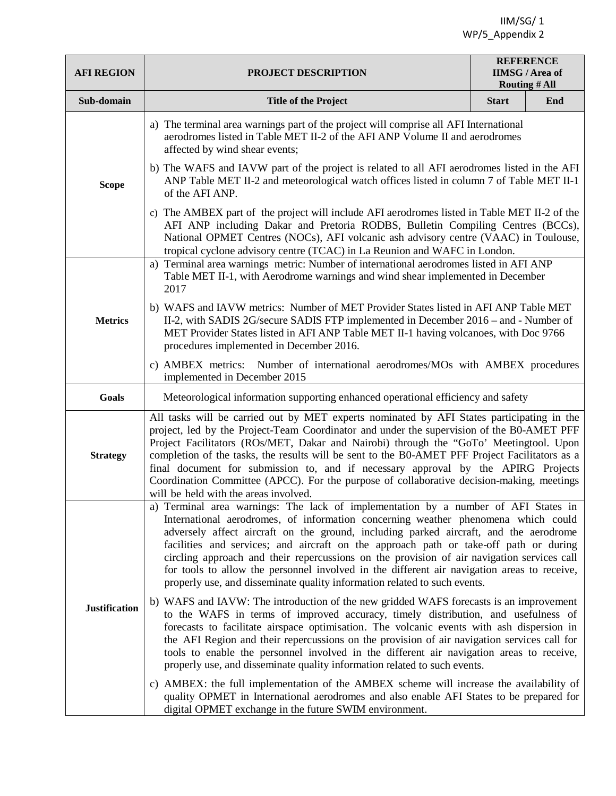IIM/SG/ 1 WP/5\_Appendix 2

| <b>AFI REGION</b>    | PROJECT DESCRIPTION                                                                                                                                                                                                                                                                                                                                                                                                                                                                                                                                                                                                                 | <b>REFERENCE</b><br><b>IIMSG</b> / Area of<br><b>Routing # All</b> |     |  |  |  |  |
|----------------------|-------------------------------------------------------------------------------------------------------------------------------------------------------------------------------------------------------------------------------------------------------------------------------------------------------------------------------------------------------------------------------------------------------------------------------------------------------------------------------------------------------------------------------------------------------------------------------------------------------------------------------------|--------------------------------------------------------------------|-----|--|--|--|--|
| Sub-domain           | <b>Title of the Project</b>                                                                                                                                                                                                                                                                                                                                                                                                                                                                                                                                                                                                         | <b>Start</b>                                                       | End |  |  |  |  |
|                      | a) The terminal area warnings part of the project will comprise all AFI International<br>aerodromes listed in Table MET II-2 of the AFI ANP Volume II and aerodromes<br>affected by wind shear events;                                                                                                                                                                                                                                                                                                                                                                                                                              |                                                                    |     |  |  |  |  |
| <b>Scope</b>         | b) The WAFS and IAVW part of the project is related to all AFI aerodromes listed in the AFI<br>ANP Table MET II-2 and meteorological watch offices listed in column 7 of Table MET II-1<br>of the AFI ANP.                                                                                                                                                                                                                                                                                                                                                                                                                          |                                                                    |     |  |  |  |  |
|                      | c) The AMBEX part of the project will include AFI aerodromes listed in Table MET II-2 of the<br>AFI ANP including Dakar and Pretoria RODBS, Bulletin Compiling Centres (BCCs),<br>National OPMET Centres (NOCs), AFI volcanic ash advisory centre (VAAC) in Toulouse,<br>tropical cyclone advisory centre (TCAC) in La Reunion and WAFC in London.                                                                                                                                                                                                                                                                                  |                                                                    |     |  |  |  |  |
|                      | a) Terminal area warnings metric: Number of international aerodromes listed in AFI ANP<br>Table MET II-1, with Aerodrome warnings and wind shear implemented in December<br>2017                                                                                                                                                                                                                                                                                                                                                                                                                                                    |                                                                    |     |  |  |  |  |
| <b>Metrics</b>       | b) WAFS and IAVW metrics: Number of MET Provider States listed in AFI ANP Table MET<br>II-2, with SADIS 2G/secure SADIS FTP implemented in December 2016 – and - Number of<br>MET Provider States listed in AFI ANP Table MET II-1 having volcanoes, with Doc 9766<br>procedures implemented in December 2016.                                                                                                                                                                                                                                                                                                                      |                                                                    |     |  |  |  |  |
|                      | c) AMBEX metrics: Number of international aerodromes/MOs with AMBEX procedures<br>implemented in December 2015                                                                                                                                                                                                                                                                                                                                                                                                                                                                                                                      |                                                                    |     |  |  |  |  |
| Goals                | Meteorological information supporting enhanced operational efficiency and safety                                                                                                                                                                                                                                                                                                                                                                                                                                                                                                                                                    |                                                                    |     |  |  |  |  |
| <b>Strategy</b>      | All tasks will be carried out by MET experts nominated by AFI States participating in the<br>project, led by the Project-Team Coordinator and under the supervision of the B0-AMET PFF<br>Project Facilitators (ROs/MET, Dakar and Nairobi) through the "GoTo' Meetingtool. Upon<br>completion of the tasks, the results will be sent to the B0-AMET PFF Project Facilitators as a<br>final document for submission to, and if necessary approval by the APIRG Projects<br>Coordination Committee (APCC). For the purpose of collaborative decision-making, meetings<br>will be held with the areas involved.                       |                                                                    |     |  |  |  |  |
|                      | a) Terminal area warnings: The lack of implementation by a number of AFI States in<br>International aerodromes, of information concerning weather phenomena which could<br>adversely affect aircraft on the ground, including parked aircraft, and the aerodrome<br>facilities and services; and aircraft on the approach path or take-off path or during<br>circling approach and their repercussions on the provision of air navigation services call<br>for tools to allow the personnel involved in the different air navigation areas to receive,<br>properly use, and disseminate quality information related to such events. |                                                                    |     |  |  |  |  |
| <b>Justification</b> | b) WAFS and IAVW: The introduction of the new gridded WAFS forecasts is an improvement<br>to the WAFS in terms of improved accuracy, timely distribution, and usefulness of<br>forecasts to facilitate airspace optimisation. The volcanic events with ash dispersion in<br>the AFI Region and their repercussions on the provision of air navigation services call for<br>tools to enable the personnel involved in the different air navigation areas to receive,<br>properly use, and disseminate quality information related to such events.                                                                                    |                                                                    |     |  |  |  |  |
|                      | c) AMBEX: the full implementation of the AMBEX scheme will increase the availability of<br>quality OPMET in International aerodromes and also enable AFI States to be prepared for<br>digital OPMET exchange in the future SWIM environment.                                                                                                                                                                                                                                                                                                                                                                                        |                                                                    |     |  |  |  |  |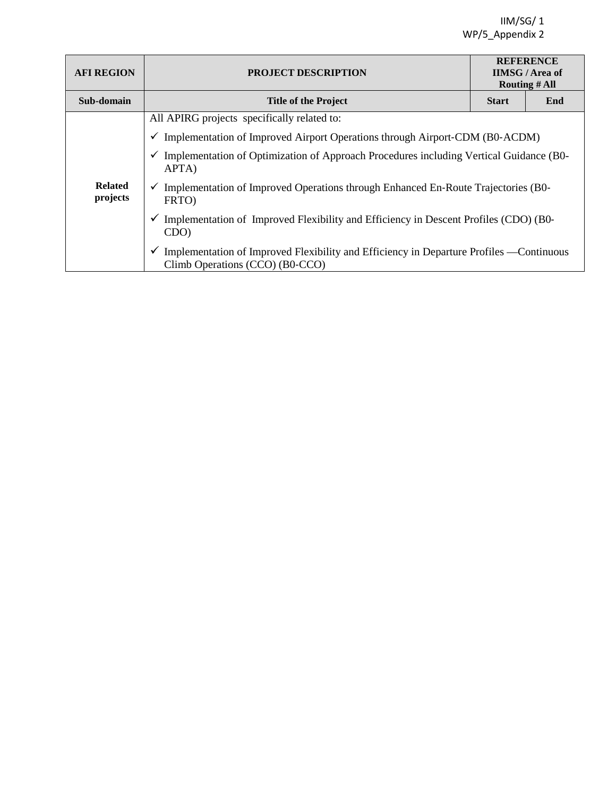| <b>AFI REGION</b>                                                                                                        | <b>PROJECT DESCRIPTION</b>                                                                                                  | <b>REFERENCE</b><br><b>IIMSG/Area of</b><br><b>Routing # All</b> |     |  |  |  |  |
|--------------------------------------------------------------------------------------------------------------------------|-----------------------------------------------------------------------------------------------------------------------------|------------------------------------------------------------------|-----|--|--|--|--|
| Sub-domain                                                                                                               | <b>Title of the Project</b>                                                                                                 | <b>Start</b>                                                     | End |  |  |  |  |
|                                                                                                                          | All APIRG projects specifically related to:                                                                                 |                                                                  |     |  |  |  |  |
|                                                                                                                          | $\checkmark$ Implementation of Improved Airport Operations through Airport-CDM (B0-ACDM)                                    |                                                                  |     |  |  |  |  |
|                                                                                                                          | Implementation of Optimization of Approach Procedures including Vertical Guidance (B0-<br>APTA)                             |                                                                  |     |  |  |  |  |
| <b>Related</b><br>Implementation of Improved Operations through Enhanced En-Route Trajectories (B0-<br>projects<br>FRTO) |                                                                                                                             |                                                                  |     |  |  |  |  |
|                                                                                                                          | Implementation of Improved Flexibility and Efficiency in Descent Profiles (CDO) (B0-<br>CDO)                                |                                                                  |     |  |  |  |  |
|                                                                                                                          | Implementation of Improved Flexibility and Efficiency in Departure Profiles - Continuous<br>Climb Operations (CCO) (B0-CCO) |                                                                  |     |  |  |  |  |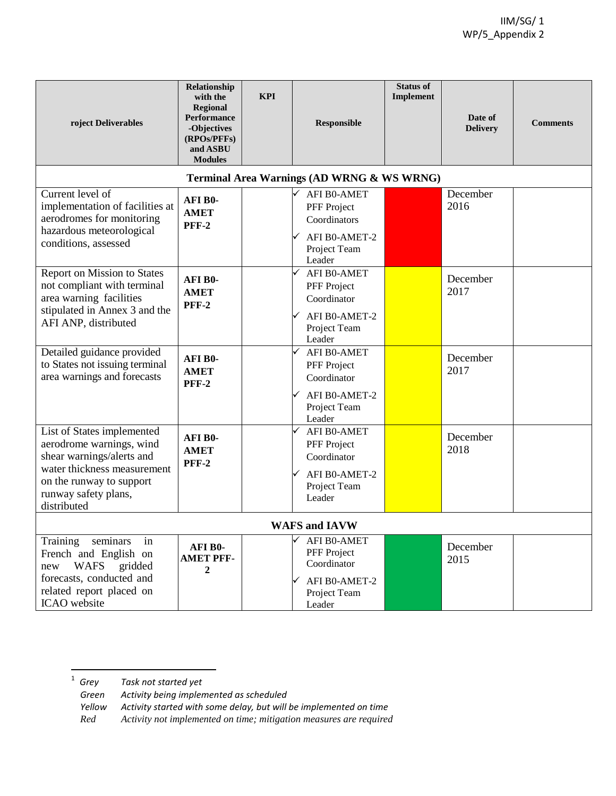| roject Deliverables                                                                                                                                                                   | Relationship<br>with the<br><b>Regional</b><br>Performance<br>-Objectives<br>(RPOs/PFFs)<br>and ASBU<br><b>Modules</b> | <b>KPI</b> | Responsible                                                                                   | <b>Status of</b><br>Implement | Date of<br><b>Delivery</b> | <b>Comments</b> |
|---------------------------------------------------------------------------------------------------------------------------------------------------------------------------------------|------------------------------------------------------------------------------------------------------------------------|------------|-----------------------------------------------------------------------------------------------|-------------------------------|----------------------------|-----------------|
|                                                                                                                                                                                       |                                                                                                                        |            | Terminal Area Warnings (AD WRNG & WS WRNG)                                                    |                               |                            |                 |
| Current level of<br>implementation of facilities at<br>aerodromes for monitoring<br>hazardous meteorological<br>conditions, assessed                                                  | <b>AFIB0-</b><br><b>AMET</b><br><b>PFF-2</b>                                                                           |            | AFI B0-AMET<br>PFF Project<br>Coordinators<br>AFI B0-AMET-2<br>Project Team<br>Leader         |                               | December<br>2016           |                 |
| Report on Mission to States<br>not compliant with terminal<br>area warning facilities<br>stipulated in Annex 3 and the<br>AFI ANP, distributed                                        | AFI B0-<br><b>AMET</b><br><b>PFF-2</b>                                                                                 |            | AFI B0-AMET<br>PFF Project<br>Coordinator<br>AFI B0-AMET-2<br>Project Team<br>Leader          |                               | December<br>2017           |                 |
| Detailed guidance provided<br>to States not issuing terminal<br>area warnings and forecasts                                                                                           | AFI B0-<br><b>AMET</b><br><b>PFF-2</b>                                                                                 |            | AFI B0-AMET<br>PFF Project<br>Coordinator<br>AFI B0-AMET-2<br>Project Team<br>Leader          |                               | December<br>2017           |                 |
| List of States implemented<br>aerodrome warnings, wind<br>shear warnings/alerts and<br>water thickness measurement<br>on the runway to support<br>runway safety plans,<br>distributed | AFI B0-<br><b>AMET</b><br><b>PFF-2</b>                                                                                 |            | AFI B0-AMET<br>PFF Project<br>Coordinator<br>AFI B0-AMET-2<br>Project Team<br>Leader          |                               | December<br>2018           |                 |
| <b>WAFS and IAVW</b>                                                                                                                                                                  |                                                                                                                        |            |                                                                                               |                               |                            |                 |
| Training<br>seminars<br>in<br>French and English on<br>WAFS<br>gridded<br>new<br>forecasts, conducted and<br>related report placed on<br>ICAO website                                 | AFI B0-<br><b>AMET PFF-</b><br>2                                                                                       |            | AFI B0-AMET<br>PFF Project<br>Coordinator<br>$\times$ AFI B0-AMET-2<br>Project Team<br>Leader |                               | December<br>2015           |                 |

<sup>1</sup> *Grey Task not started yet*   $1$  Grey

*Green Activity being implemented as scheduled* 

*Yellow Activity started with some delay, but will be implemented on time*

*Red Activity not implemented on time; mitigation measures are required*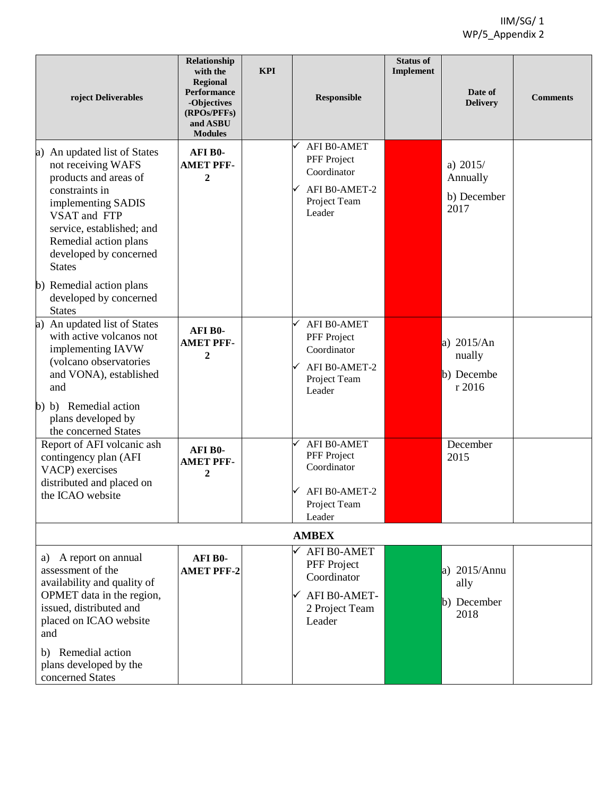| roject Deliverables                                                                                                                                                                                                                  | Relationship<br>with the<br><b>Regional</b><br>Performance | <b>KPI</b> | <b>Responsible</b>                                                                          | <b>Status of</b><br>Implement | Date of                                        | <b>Comments</b> |
|--------------------------------------------------------------------------------------------------------------------------------------------------------------------------------------------------------------------------------------|------------------------------------------------------------|------------|---------------------------------------------------------------------------------------------|-------------------------------|------------------------------------------------|-----------------|
|                                                                                                                                                                                                                                      | -Objectives<br>(RPOs/PFFs)<br>and ASBU<br><b>Modules</b>   |            |                                                                                             |                               | <b>Delivery</b>                                |                 |
| a) An updated list of States<br>not receiving WAFS<br>products and areas of<br>constraints in<br>implementing SADIS<br>VSAT and FTP<br>service, established; and<br>Remedial action plans<br>developed by concerned<br><b>States</b> | AFI B0-<br><b>AMET PFF-</b><br>$\boldsymbol{2}$            |            | <b>AFI B0-AMET</b><br>PFF Project<br>Coordinator<br>AFI B0-AMET-2<br>Project Team<br>Leader |                               | a) $2015/$<br>Annually<br>b) December<br>2017  |                 |
| b) Remedial action plans<br>developed by concerned<br><b>States</b>                                                                                                                                                                  |                                                            |            |                                                                                             |                               |                                                |                 |
| a) An updated list of States<br>with active volcanos not<br>implementing IAVW<br>(volcano observatories<br>and VONA), established<br>and                                                                                             | AFI B0-<br><b>AMET PFF-</b><br>$\overline{2}$              |            | <b>AFI B0-AMET</b><br>PFF Project<br>Coordinator<br>AFI B0-AMET-2<br>Project Team<br>Leader |                               | a) $2015/An$<br>nually<br>b) Decembe<br>r 2016 |                 |
| b) b) Remedial action<br>plans developed by<br>the concerned States                                                                                                                                                                  |                                                            |            |                                                                                             |                               |                                                |                 |
| Report of AFI volcanic ash<br>contingency plan (AFI<br>VACP) exercises<br>distributed and placed on<br>the ICAO website                                                                                                              | AFI B0-<br><b>AMET PFF-</b><br>$\boldsymbol{2}$            |            | <b>AFI B0-AMET</b><br>PFF Project<br>Coordinator<br>AFI B0-AMET-2<br>Project Team<br>Leader |                               | December<br>2015                               |                 |
| <b>AMBEX</b>                                                                                                                                                                                                                         |                                                            |            |                                                                                             |                               |                                                |                 |
| a) A report on annual<br>assessment of the<br>availability and quality of<br>OPMET data in the region,<br>issued, distributed and<br>placed on ICAO website<br>and                                                                   | AFI B0-<br><b>AMET PFF-2</b>                               |            | AFI B0-AMET<br>PFF Project<br>Coordinator<br>AFI B0-AMET-<br>✓<br>2 Project Team<br>Leader  |                               | a) $2015/Annu$<br>ally<br>b) December<br>2018  |                 |
| Remedial action<br>b)<br>plans developed by the<br>concerned States                                                                                                                                                                  |                                                            |            |                                                                                             |                               |                                                |                 |